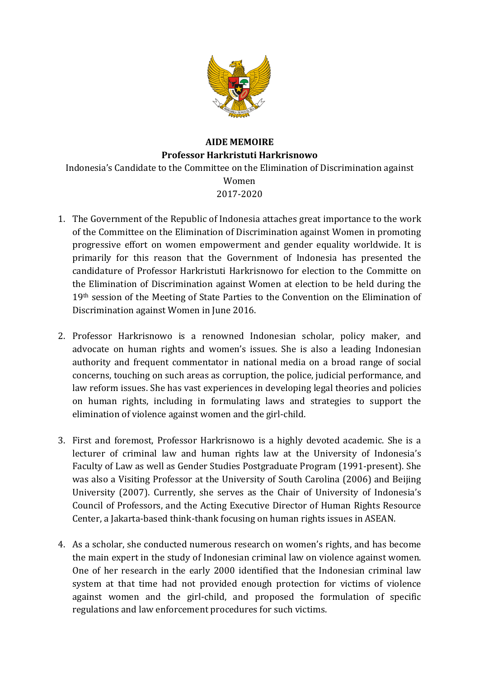

## **AIDE MEMOIRE Professor Harkristuti Harkrisnowo** Indonesia's Candidate to the Committee on the Elimination of Discrimination against Women 2017-2020

- 1. The Government of the Republic of Indonesia attaches great importance to the work of the Committee on the Elimination of Discrimination against Women in promoting progressive effort on women empowerment and gender equality worldwide. It is primarily for this reason that the Government of Indonesia has presented the candidature of Professor Harkristuti Harkrisnowo for election to the Committe on the Elimination of Discrimination against Women at election to be held during the 19<sup>th</sup> session of the Meeting of State Parties to the Convention on the Elimination of Discrimination against Women in June 2016.
- 2. Professor Harkrisnowo is a renowned Indonesian scholar, policy maker, and advocate on human rights and women's issues. She is also a leading Indonesian authority and frequent commentator in national media on a broad range of social concerns, touching on such areas as corruption, the police, judicial performance, and law reform issues. She has vast experiences in developing legal theories and policies on human rights, including in formulating laws and strategies to support the elimination of violence against women and the girl-child.
- 3. First and foremost, Professor Harkrisnowo is a highly devoted academic. She is a lecturer of criminal law and human rights law at the University of Indonesia's Faculty of Law as well as Gender Studies Postgraduate Program (1991-present). She was also a Visiting Professor at the University of South Carolina (2006) and Beijing University (2007). Currently, she serves as the Chair of University of Indonesia's Council of Professors, and the Acting Executive Director of Human Rights Resource Center, a Jakarta-based think-thank focusing on human rights issues in ASEAN.
- 4. As a scholar, she conducted numerous research on women's rights, and has become the main expert in the study of Indonesian criminal law on violence against women. One of her research in the early 2000 identified that the Indonesian criminal law system at that time had not provided enough protection for victims of violence against women and the girl-child, and proposed the formulation of specific regulations and law enforcement procedures for such victims.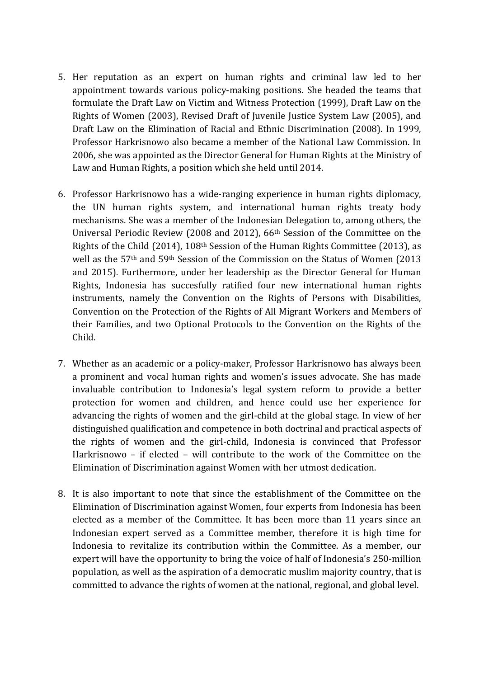- 5. Her reputation as an expert on human rights and criminal law led to her appointment towards various policy-making positions. She headed the teams that formulate the Draft Law on Victim and Witness Protection (1999), Draft Law on the Rights of Women (2003), Revised Draft of Juvenile Justice System Law (2005), and Draft Law on the Elimination of Racial and Ethnic Discrimination (2008). In 1999, Professor Harkrisnowo also became a member of the National Law Commission. In 2006, she was appointed as the Director General for Human Rights at the Ministry of Law and Human Rights, a position which she held until 2014.
- 6. Professor Harkrisnowo has a wide-ranging experience in human rights diplomacy, the UN human rights system, and international human rights treaty body mechanisms. She was a member of the Indonesian Delegation to, among others, the Universal Periodic Review (2008 and 2012),  $66<sup>th</sup>$  Session of the Committee on the Rights of the Child (2014), 108<sup>th</sup> Session of the Human Rights Committee (2013), as well as the 57<sup>th</sup> and 59<sup>th</sup> Session of the Commission on the Status of Women (2013) and 2015). Furthermore, under her leadership as the Director General for Human Rights, Indonesia has succesfully ratified four new international human rights instruments, namely the Convention on the Rights of Persons with Disabilities, Convention on the Protection of the Rights of All Migrant Workers and Members of their Families, and two Optional Protocols to the Convention on the Rights of the Child.
- 7. Whether as an academic or a policy-maker, Professor Harkrisnowo has always been a prominent and vocal human rights and women's issues advocate. She has made invaluable contribution to Indonesia's legal system reform to provide a better protection for women and children, and hence could use her experience for advancing the rights of women and the girl-child at the global stage. In view of her distinguished qualification and competence in both doctrinal and practical aspects of the rights of women and the girl-child, Indonesia is convinced that Professor Harkrisnowo – if elected – will contribute to the work of the Committee on the Elimination of Discrimination against Women with her utmost dedication.
- 8. It is also important to note that since the establishment of the Committee on the Elimination of Discrimination against Women, four experts from Indonesia has been elected as a member of the Committee. It has been more than 11 years since an Indonesian expert served as a Committee member, therefore it is high time for Indonesia to revitalize its contribution within the Committee. As a member, our expert will have the opportunity to bring the voice of half of Indonesia's 250-million population, as well as the aspiration of a democratic muslim majority country, that is committed to advance the rights of women at the national, regional, and global level.